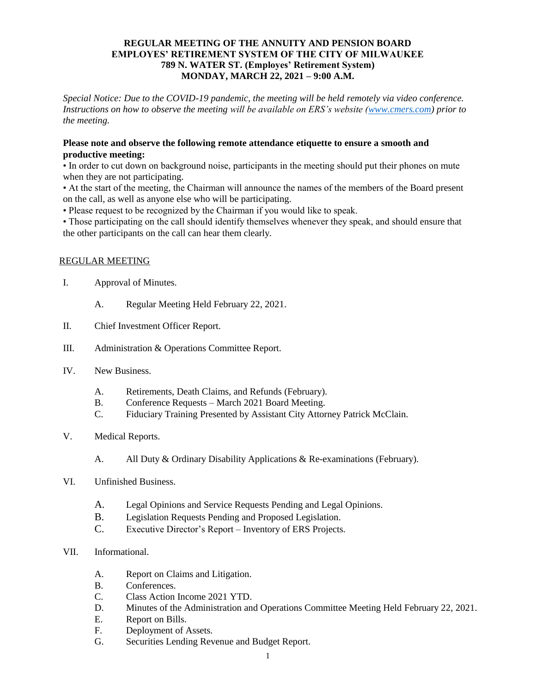#### **REGULAR MEETING OF THE ANNUITY AND PENSION BOARD EMPLOYES' RETIREMENT SYSTEM OF THE CITY OF MILWAUKEE 789 N. WATER ST. (Employes' Retirement System) MONDAY, MARCH 22, 2021 – 9:00 A.M.**

*Special Notice: Due to the COVID-19 pandemic, the meeting will be held remotely via video conference. Instructions on how to observe the meeting will be available on ERS's website [\(www.cmers.com\)](http://www.cmers.com/) prior to the meeting.*

### **Please note and observe the following remote attendance etiquette to ensure a smooth and productive meeting:**

• In order to cut down on background noise, participants in the meeting should put their phones on mute when they are not participating.

• At the start of the meeting, the Chairman will announce the names of the members of the Board present on the call, as well as anyone else who will be participating.

• Please request to be recognized by the Chairman if you would like to speak.

• Those participating on the call should identify themselves whenever they speak, and should ensure that the other participants on the call can hear them clearly.

### REGULAR MEETING

- I. Approval of Minutes.
	- A. Regular Meeting Held February 22, 2021.
- II. Chief Investment Officer Report.
- III. Administration & Operations Committee Report.
- IV. New Business.
	- A. Retirements, Death Claims, and Refunds (February).
	- B. Conference Requests March 2021 Board Meeting.
	- C. Fiduciary Training Presented by Assistant City Attorney Patrick McClain.
- V. Medical Reports.
	- A. All Duty & Ordinary Disability Applications & Re-examinations (February).
- VI. Unfinished Business.
	- A. Legal Opinions and Service Requests Pending and Legal Opinions.
	- B. Legislation Requests Pending and Proposed Legislation.
	- C. Executive Director's Report Inventory of ERS Projects.
- VII. Informational.
	- A. Report on Claims and Litigation.
	- B. Conferences.
	- C. Class Action Income 2021 YTD.
	- D. Minutes of the Administration and Operations Committee Meeting Held February 22, 2021.
	- E. Report on Bills.
	- F. Deployment of Assets.
	- G. Securities Lending Revenue and Budget Report.